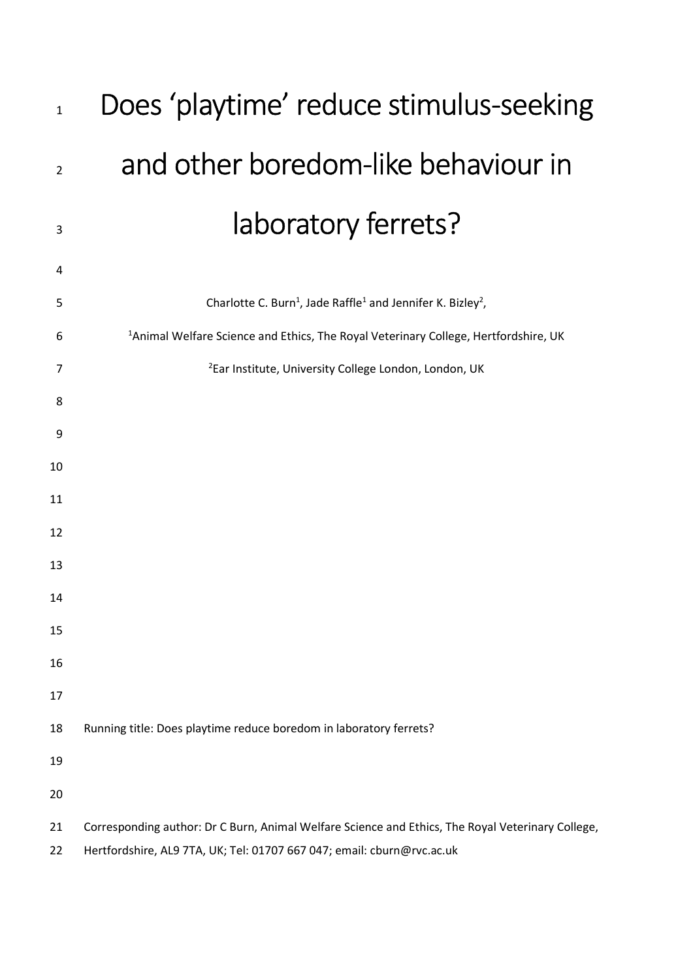| $\mathbf{1}$   | Does 'playtime' reduce stimulus-seeking                                                                                                                                     |  |  |
|----------------|-----------------------------------------------------------------------------------------------------------------------------------------------------------------------------|--|--|
| $\overline{2}$ | and other boredom-like behaviour in                                                                                                                                         |  |  |
| 3              | laboratory ferrets?                                                                                                                                                         |  |  |
| 4              |                                                                                                                                                                             |  |  |
| 5              | Charlotte C. Burn <sup>1</sup> , Jade Raffle <sup>1</sup> and Jennifer K. Bizley <sup>2</sup> ,                                                                             |  |  |
| 6              | <sup>1</sup> Animal Welfare Science and Ethics, The Royal Veterinary College, Hertfordshire, UK                                                                             |  |  |
| $\overline{7}$ | <sup>2</sup> Ear Institute, University College London, London, UK                                                                                                           |  |  |
| 8              |                                                                                                                                                                             |  |  |
| 9              |                                                                                                                                                                             |  |  |
| 10             |                                                                                                                                                                             |  |  |
| 11             |                                                                                                                                                                             |  |  |
| 12             |                                                                                                                                                                             |  |  |
| 13             |                                                                                                                                                                             |  |  |
| 14             |                                                                                                                                                                             |  |  |
| 15             |                                                                                                                                                                             |  |  |
| 16             |                                                                                                                                                                             |  |  |
| 17             |                                                                                                                                                                             |  |  |
| 18             | Running title: Does playtime reduce boredom in laboratory ferrets?                                                                                                          |  |  |
| 19             |                                                                                                                                                                             |  |  |
| 20             |                                                                                                                                                                             |  |  |
| 21<br>22       | Corresponding author: Dr C Burn, Animal Welfare Science and Ethics, The Royal Veterinary College,<br>Hertfordshire, AL9 7TA, UK; Tel: 01707 667 047; email: cburn@rvc.ac.uk |  |  |
|                |                                                                                                                                                                             |  |  |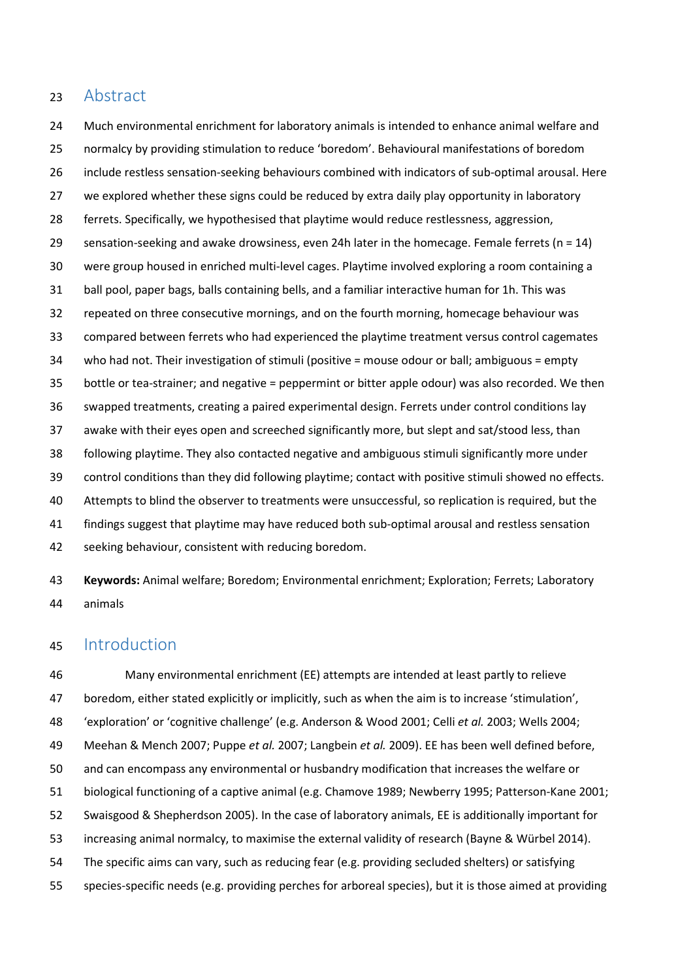## 23 Abstract

24 Much environmental enrichment for laboratory animals is intended to enhance animal welfare and 25 normalcy by providing stimulation to reduce 'boredom'. Behavioural manifestations of boredom 26 include restless sensation-seeking behaviours combined with indicators of sub-optimal arousal. Here 27 we explored whether these signs could be reduced by extra daily play opportunity in laboratory 28 ferrets. Specifically, we hypothesised that playtime would reduce restlessness, aggression, 29 sensation-seeking and awake drowsiness, even 24h later in the homecage. Female ferrets (n = 14) 30 were group housed in enriched multi-level cages. Playtime involved exploring a room containing a 31 ball pool, paper bags, balls containing bells, and a familiar interactive human for 1h. This was 32 repeated on three consecutive mornings, and on the fourth morning, homecage behaviour was 33 compared between ferrets who had experienced the playtime treatment versus control cagemates 34 who had not. Their investigation of stimuli (positive = mouse odour or ball; ambiguous = empty 35 bottle or tea-strainer; and negative = peppermint or bitter apple odour) was also recorded. We then 36 swapped treatments, creating a paired experimental design. Ferrets under control conditions lay 37 awake with their eyes open and screeched significantly more, but slept and sat/stood less, than 38 following playtime. They also contacted negative and ambiguous stimuli significantly more under 39 control conditions than they did following playtime; contact with positive stimuli showed no effects. 40 Attempts to blind the observer to treatments were unsuccessful, so replication is required, but the 41 findings suggest that playtime may have reduced both sub-optimal arousal and restless sensation 42 seeking behaviour, consistent with reducing boredom.

43 Keywords: Animal welfare; Boredom; Environmental enrichment; Exploration; Ferrets; Laboratory 44 animals

## 45 Introduction

46 Many environmental enrichment (EE) attempts are intended at least partly to relieve 47 boredom, either stated explicitly or implicitly, such as when the aim is to increase 'stimulation', 48 'exploration' or 'cognitive challenge' (e.g. Anderson & Wood 2001; Celli et al. 2003; Wells 2004; 49 Meehan & Mench 2007; Puppe et al. 2007; Langbein et al. 2009). EE has been well defined before, 50 and can encompass any environmental or husbandry modification that increases the welfare or 51 biological functioning of a captive animal (e.g. Chamove 1989; Newberry 1995; Patterson-Kane 2001; 52 Swaisgood & Shepherdson 2005). In the case of laboratory animals, EE is additionally important for 53 increasing animal normalcy, to maximise the external validity of research (Bayne & Würbel 2014). 54 The specific aims can vary, such as reducing fear (e.g. providing secluded shelters) or satisfying 55 species-specific needs (e.g. providing perches for arboreal species), but it is those aimed at providing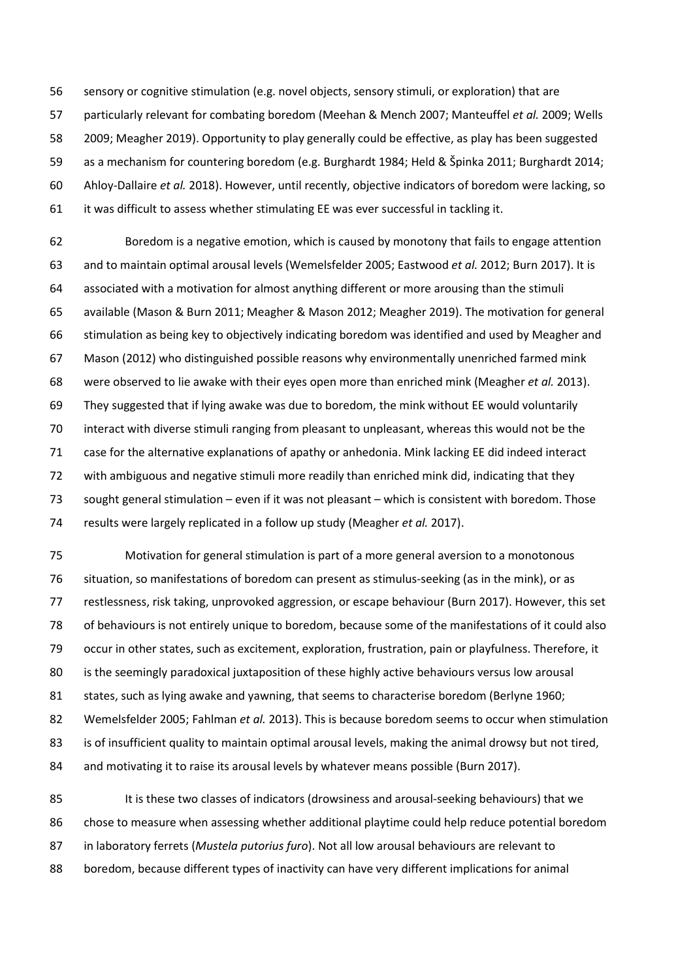56 sensory or cognitive stimulation (e.g. novel objects, sensory stimuli, or exploration) that are 57 particularly relevant for combating boredom (Meehan & Mench 2007; Manteuffel et al. 2009; Wells 58 2009; Meagher 2019). Opportunity to play generally could be effective, as play has been suggested 59 as a mechanism for countering boredom (e.g. Burghardt 1984; Held & Špinka 2011; Burghardt 2014; 60 Ahloy-Dallaire et al. 2018). However, until recently, objective indicators of boredom were lacking, so 61 it was difficult to assess whether stimulating EE was ever successful in tackling it.

62 Boredom is a negative emotion, which is caused by monotony that fails to engage attention 63 and to maintain optimal arousal levels (Wemelsfelder 2005; Eastwood et al. 2012; Burn 2017). It is 64 associated with a motivation for almost anything different or more arousing than the stimuli 65 available (Mason & Burn 2011; Meagher & Mason 2012; Meagher 2019). The motivation for general 66 stimulation as being key to objectively indicating boredom was identified and used by Meagher and 67 Mason (2012) who distinguished possible reasons why environmentally unenriched farmed mink 68 were observed to lie awake with their eyes open more than enriched mink (Meagher et al. 2013). 69 They suggested that if lying awake was due to boredom, the mink without EE would voluntarily 70 interact with diverse stimuli ranging from pleasant to unpleasant, whereas this would not be the 71 case for the alternative explanations of apathy or anhedonia. Mink lacking EE did indeed interact 72 with ambiguous and negative stimuli more readily than enriched mink did, indicating that they 73 sought general stimulation – even if it was not pleasant – which is consistent with boredom. Those 74 results were largely replicated in a follow up study (Meagher et al. 2017).

75 Motivation for general stimulation is part of a more general aversion to a monotonous 76 situation, so manifestations of boredom can present as stimulus-seeking (as in the mink), or as 77 restlessness, risk taking, unprovoked aggression, or escape behaviour (Burn 2017). However, this set 78 of behaviours is not entirely unique to boredom, because some of the manifestations of it could also 79 occur in other states, such as excitement, exploration, frustration, pain or playfulness. Therefore, it 80 is the seemingly paradoxical juxtaposition of these highly active behaviours versus low arousal 81 states, such as lying awake and yawning, that seems to characterise boredom (Berlyne 1960; 82 Wemelsfelder 2005; Fahlman et al. 2013). This is because boredom seems to occur when stimulation 83 is of insufficient quality to maintain optimal arousal levels, making the animal drowsy but not tired, 84 and motivating it to raise its arousal levels by whatever means possible (Burn 2017).

85 It is these two classes of indicators (drowsiness and arousal-seeking behaviours) that we 86 chose to measure when assessing whether additional playtime could help reduce potential boredom 87 in laboratory ferrets (Mustela putorius furo). Not all low arousal behaviours are relevant to 88 boredom, because different types of inactivity can have very different implications for animal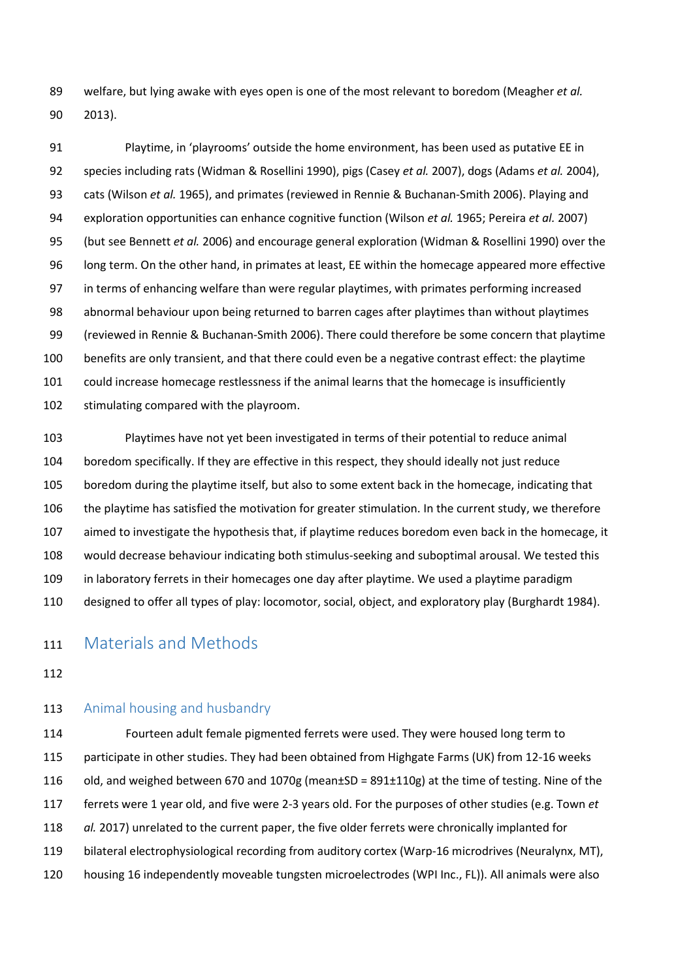89 welfare, but lying awake with eyes open is one of the most relevant to boredom (Meagher et al. 90 2013).

91 Playtime, in 'playrooms' outside the home environment, has been used as putative EE in 92 species including rats (Widman & Rosellini 1990), pigs (Casey et al. 2007), dogs (Adams et al. 2004), 93 cats (Wilson et al. 1965), and primates (reviewed in Rennie & Buchanan-Smith 2006). Playing and 94 exploration opportunities can enhance cognitive function (Wilson et al. 1965; Pereira et al. 2007) 95 (but see Bennett *et al.* 2006) and encourage general exploration (Widman & Rosellini 1990) over the 96 long term. On the other hand, in primates at least, EE within the homecage appeared more effective 97 in terms of enhancing welfare than were regular playtimes, with primates performing increased 98 abnormal behaviour upon being returned to barren cages after playtimes than without playtimes 99 (reviewed in Rennie & Buchanan-Smith 2006). There could therefore be some concern that playtime 100 benefits are only transient, and that there could even be a negative contrast effect: the playtime 101 could increase homecage restlessness if the animal learns that the homecage is insufficiently 102 stimulating compared with the playroom.

103 Playtimes have not yet been investigated in terms of their potential to reduce animal 104 boredom specifically. If they are effective in this respect, they should ideally not just reduce 105 boredom during the playtime itself, but also to some extent back in the homecage, indicating that 106 the playtime has satisfied the motivation for greater stimulation. In the current study, we therefore 107 aimed to investigate the hypothesis that, if playtime reduces boredom even back in the homecage, it 108 would decrease behaviour indicating both stimulus-seeking and suboptimal arousal. We tested this 109 in laboratory ferrets in their homecages one day after playtime. We used a playtime paradigm 110 designed to offer all types of play: locomotor, social, object, and exploratory play (Burghardt 1984).

# 111 Materials and Methods

112

#### 113 Animal housing and husbandry

114 Fourteen adult female pigmented ferrets were used. They were housed long term to 115 participate in other studies. They had been obtained from Highgate Farms (UK) from 12-16 weeks 116 old, and weighed between 670 and 1070g (mean±SD = 891±110g) at the time of testing. Nine of the 117 ferrets were 1 year old, and five were 2-3 years old. For the purposes of other studies (e.g. Town et 118 al. 2017) unrelated to the current paper, the five older ferrets were chronically implanted for 119 bilateral electrophysiological recording from auditory cortex (Warp-16 microdrives (Neuralynx, MT), 120 housing 16 independently moveable tungsten microelectrodes (WPI Inc., FL)). All animals were also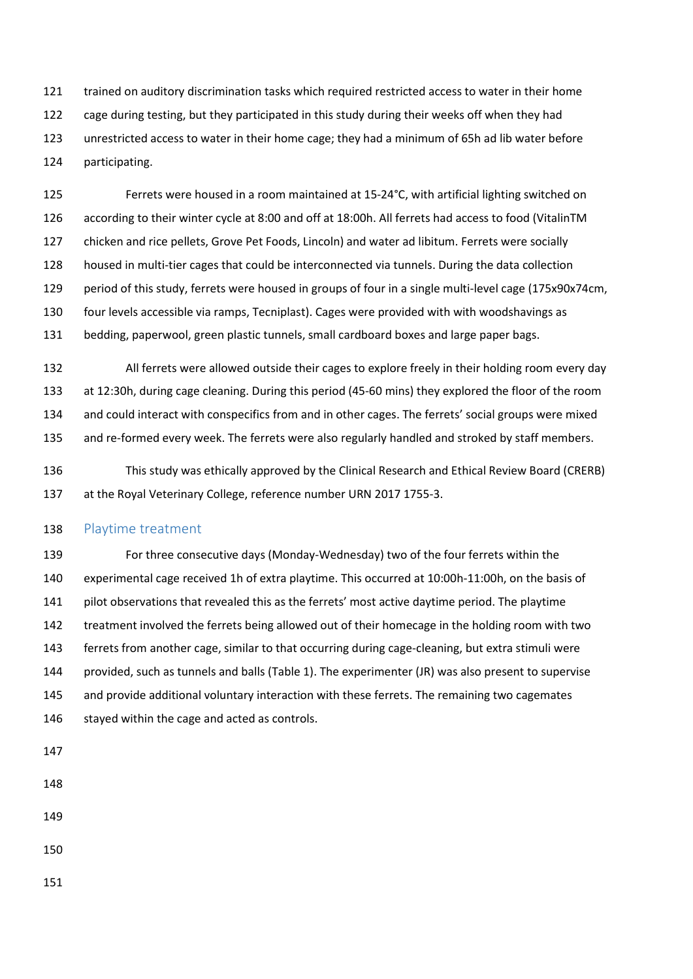121 trained on auditory discrimination tasks which required restricted access to water in their home 122 cage during testing, but they participated in this study during their weeks off when they had 123 unrestricted access to water in their home cage; they had a minimum of 65h ad lib water before 124 participating.

125 Ferrets were housed in a room maintained at 15-24°C, with artificial lighting switched on 126 according to their winter cycle at 8:00 and off at 18:00h. All ferrets had access to food (VitalinTM 127 chicken and rice pellets, Grove Pet Foods, Lincoln) and water ad libitum. Ferrets were socially 128 housed in multi-tier cages that could be interconnected via tunnels. During the data collection 129 period of this study, ferrets were housed in groups of four in a single multi-level cage (175x90x74cm, 130 four levels accessible via ramps, Tecniplast). Cages were provided with with woodshavings as 131 bedding, paperwool, green plastic tunnels, small cardboard boxes and large paper bags.

132 All ferrets were allowed outside their cages to explore freely in their holding room every day 133 at 12:30h, during cage cleaning. During this period (45-60 mins) they explored the floor of the room 134 and could interact with conspecifics from and in other cages. The ferrets' social groups were mixed 135 and re-formed every week. The ferrets were also regularly handled and stroked by staff members.

136 This study was ethically approved by the Clinical Research and Ethical Review Board (CRERB) 137 at the Royal Veterinary College, reference number URN 2017 1755-3.

### 138 Playtime treatment

139 For three consecutive days (Monday-Wednesday) two of the four ferrets within the 140 experimental cage received 1h of extra playtime. This occurred at 10:00h-11:00h, on the basis of 141 pilot observations that revealed this as the ferrets' most active daytime period. The playtime 142 treatment involved the ferrets being allowed out of their homecage in the holding room with two 143 ferrets from another cage, similar to that occurring during cage-cleaning, but extra stimuli were 144 provided, such as tunnels and balls (Table 1). The experimenter (JR) was also present to supervise 145 and provide additional voluntary interaction with these ferrets. The remaining two cagemates 146 stayed within the cage and acted as controls.

147

- 148
- 149

150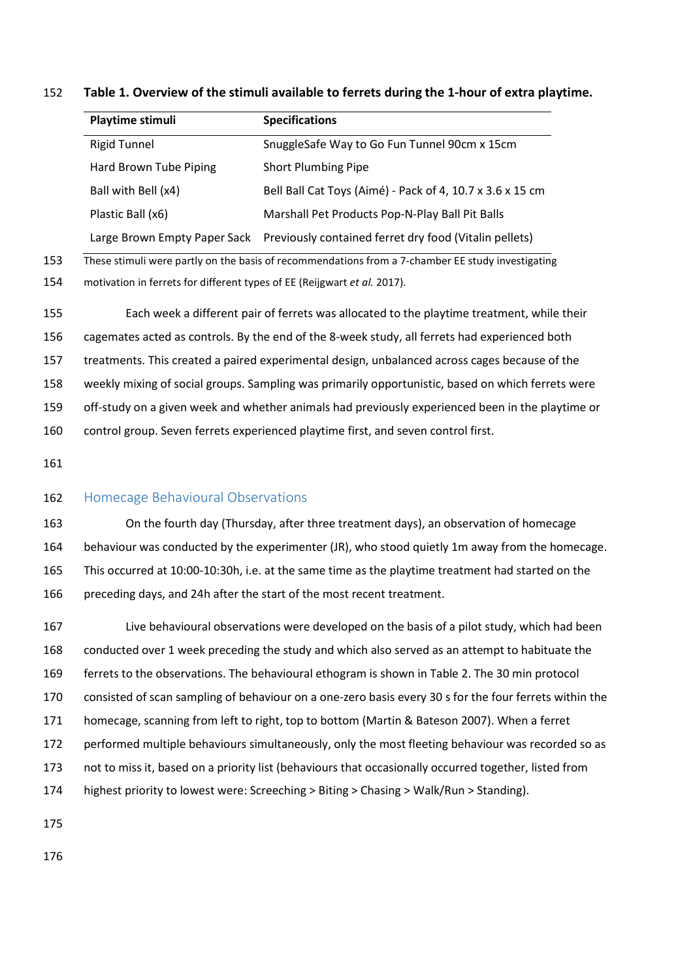|     | Playtime stimuli                                                                                  | <b>Specifications</b>                                     |  |  |  |
|-----|---------------------------------------------------------------------------------------------------|-----------------------------------------------------------|--|--|--|
|     | <b>Rigid Tunnel</b>                                                                               | SnuggleSafe Way to Go Fun Tunnel 90cm x 15cm              |  |  |  |
|     | Hard Brown Tube Piping                                                                            | Short Plumbing Pipe                                       |  |  |  |
|     | Ball with Bell (x4)                                                                               | Bell Ball Cat Toys (Aimé) - Pack of 4, 10.7 x 3.6 x 15 cm |  |  |  |
|     | Plastic Ball (x6)                                                                                 | Marshall Pet Products Pop-N-Play Ball Pit Balls           |  |  |  |
|     | Large Brown Empty Paper Sack                                                                      | Previously contained ferret dry food (Vitalin pellets)    |  |  |  |
| 153 | These stimuli were partly on the basis of recommendations from a 7-chamber EE study investigating |                                                           |  |  |  |
| 154 | motivation in ferrets for different types of EE (Reijgwart et al. 2017).                          |                                                           |  |  |  |
| 155 | Each week a different pair of ferrets was allocated to the playtime treatment, while their        |                                                           |  |  |  |
| 156 | cagemates acted as controls. By the end of the 8-week study, all ferrets had experienced both     |                                                           |  |  |  |
| 157 | treatments. This created a paired experimental design, unbalanced across cages because of the     |                                                           |  |  |  |
| 158 | weekly mixing of social groups. Sampling was primarily opportunistic, based on which ferrets were |                                                           |  |  |  |
| 159 | off-study on a given week and whether animals had previously experienced been in the playtime or  |                                                           |  |  |  |
| 160 | control group. Seven ferrets experienced playtime first, and seven control first.                 |                                                           |  |  |  |
| 161 |                                                                                                   |                                                           |  |  |  |

### 152 Table 1. Overview of the stimuli available to ferrets during the 1-hour of extra playtime.

### 162 Homecage Behavioural Observations

163 On the fourth day (Thursday, after three treatment days), an observation of homecage 164 behaviour was conducted by the experimenter (JR), who stood quietly 1m away from the homecage. 165 This occurred at 10:00-10:30h, i.e. at the same time as the playtime treatment had started on the 166 preceding days, and 24h after the start of the most recent treatment.

167 Live behavioural observations were developed on the basis of a pilot study, which had been 168 conducted over 1 week preceding the study and which also served as an attempt to habituate the 169 ferrets to the observations. The behavioural ethogram is shown in Table 2. The 30 min protocol 170 consisted of scan sampling of behaviour on a one-zero basis every 30 s for the four ferrets within the 171 homecage, scanning from left to right, top to bottom (Martin & Bateson 2007). When a ferret 172 performed multiple behaviours simultaneously, only the most fleeting behaviour was recorded so as 173 not to miss it, based on a priority list (behaviours that occasionally occurred together, listed from 174 highest priority to lowest were: Screeching > Biting > Chasing > Walk/Run > Standing).

175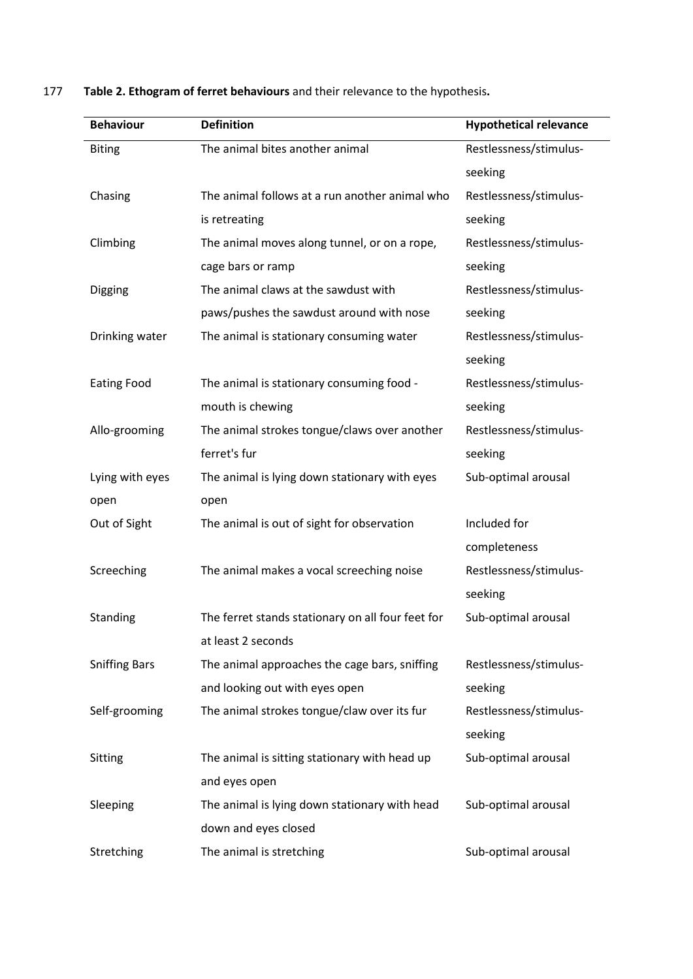|                      | <b>Definition</b>                                 | <b>Hypothetical relevance</b> |
|----------------------|---------------------------------------------------|-------------------------------|
| <b>Biting</b>        | The animal bites another animal                   | Restlessness/stimulus-        |
|                      |                                                   | seeking                       |
| Chasing              | The animal follows at a run another animal who    | Restlessness/stimulus-        |
|                      | is retreating                                     | seeking                       |
| Climbing             | The animal moves along tunnel, or on a rope,      | Restlessness/stimulus-        |
|                      | cage bars or ramp                                 | seeking                       |
| Digging              | The animal claws at the sawdust with              | Restlessness/stimulus-        |
|                      | paws/pushes the sawdust around with nose          | seeking                       |
| Drinking water       | The animal is stationary consuming water          | Restlessness/stimulus-        |
|                      |                                                   | seeking                       |
| <b>Eating Food</b>   | The animal is stationary consuming food -         | Restlessness/stimulus-        |
|                      | mouth is chewing                                  | seeking                       |
| Allo-grooming        | The animal strokes tongue/claws over another      | Restlessness/stimulus-        |
|                      | ferret's fur                                      | seeking                       |
| Lying with eyes      | The animal is lying down stationary with eyes     | Sub-optimal arousal           |
| open                 | open                                              |                               |
| Out of Sight         | The animal is out of sight for observation        | Included for                  |
|                      |                                                   | completeness                  |
| Screeching           | The animal makes a vocal screeching noise         | Restlessness/stimulus-        |
|                      |                                                   | seeking                       |
| Standing             | The ferret stands stationary on all four feet for | Sub-optimal arousal           |
|                      | at least 2 seconds                                |                               |
|                      |                                                   |                               |
| <b>Sniffing Bars</b> | The animal approaches the cage bars, sniffing     | Restlessness/stimulus-        |
|                      | and looking out with eyes open                    | seeking                       |
| Self-grooming        | The animal strokes tongue/claw over its fur       | Restlessness/stimulus-        |
|                      |                                                   | seeking                       |
| Sitting              | The animal is sitting stationary with head up     | Sub-optimal arousal           |
|                      | and eyes open                                     |                               |
| Sleeping             | The animal is lying down stationary with head     | Sub-optimal arousal           |
|                      | down and eyes closed                              |                               |

177 Table 2. Ethogram of ferret behaviours and their relevance to the hypothesis.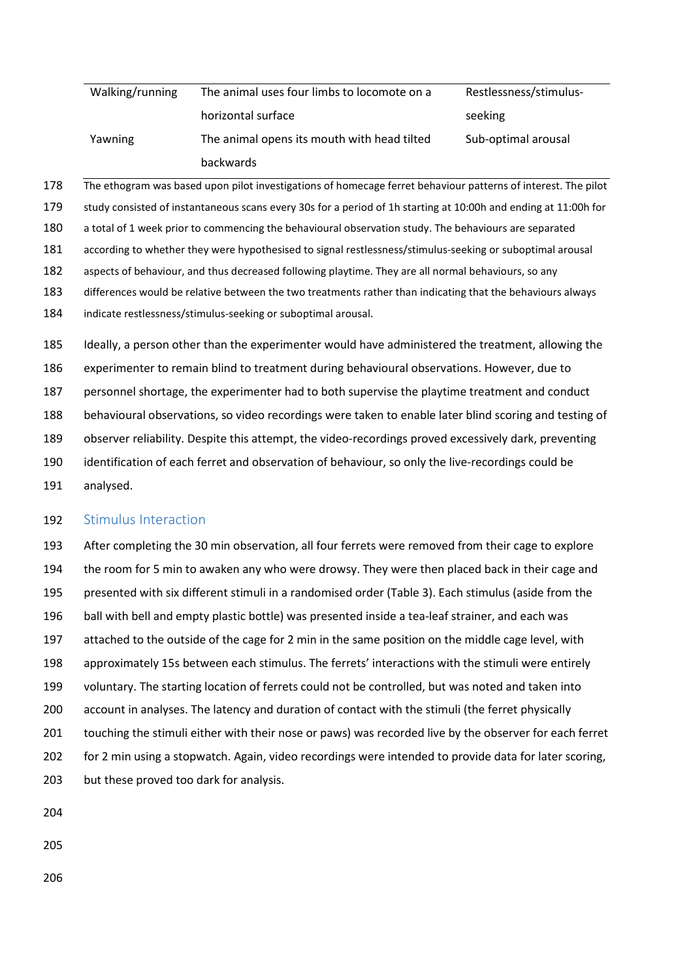| Walking/running | The animal uses four limbs to locomote on a | Restlessness/stimulus- |
|-----------------|---------------------------------------------|------------------------|
|                 | horizontal surface                          | seeking                |
| Yawning         | The animal opens its mouth with head tilted | Sub-optimal arousal    |
|                 | backwards                                   |                        |

The ethogram was based upon pilot investigations of homecage ferret behaviour patterns of interest. The pilot study consisted of instantaneous scans every 30s for a period of 1h starting at 10:00h and ending at 11:00h for a total of 1 week prior to commencing the behavioural observation study. The behaviours are separated according to whether they were hypothesised to signal restlessness/stimulus-seeking or suboptimal arousal aspects of behaviour, and thus decreased following playtime. They are all normal behaviours, so any differences would be relative between the two treatments rather than indicating that the behaviours always indicate restlessness/stimulus-seeking or suboptimal arousal. 185 Ideally, a person other than the experimenter would have administered the treatment, allowing the

186 experimenter to remain blind to treatment during behavioural observations. However, due to 187 personnel shortage, the experimenter had to both supervise the playtime treatment and conduct 188 behavioural observations, so video recordings were taken to enable later blind scoring and testing of 189 observer reliability. Despite this attempt, the video-recordings proved excessively dark, preventing 190 identification of each ferret and observation of behaviour, so only the live-recordings could be 191 analysed.

#### 192 Stimulus Interaction

193 After completing the 30 min observation, all four ferrets were removed from their cage to explore 194 the room for 5 min to awaken any who were drowsy. They were then placed back in their cage and 195 presented with six different stimuli in a randomised order (Table 3). Each stimulus (aside from the 196 ball with bell and empty plastic bottle) was presented inside a tea-leaf strainer, and each was 197 attached to the outside of the cage for 2 min in the same position on the middle cage level, with 198 approximately 15s between each stimulus. The ferrets' interactions with the stimuli were entirely 199 voluntary. The starting location of ferrets could not be controlled, but was noted and taken into 200 account in analyses. The latency and duration of contact with the stimuli (the ferret physically 201 touching the stimuli either with their nose or paws) was recorded live by the observer for each ferret 202 for 2 min using a stopwatch. Again, video recordings were intended to provide data for later scoring, 203 but these proved too dark for analysis.

204

205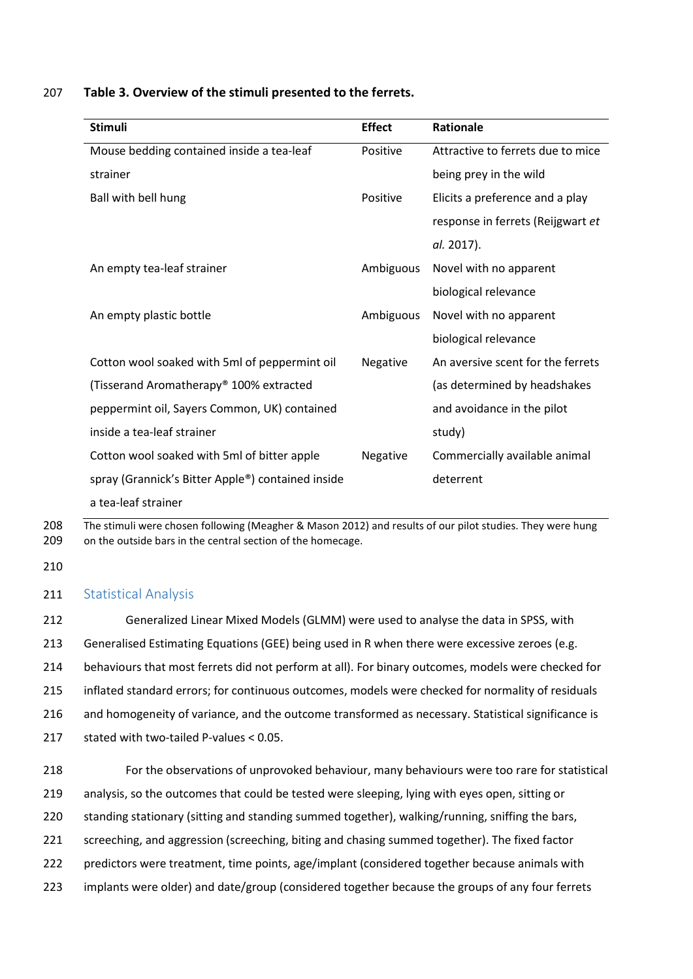| <b>Stimuli</b>                                    | <b>Effect</b> | Rationale                         |
|---------------------------------------------------|---------------|-----------------------------------|
| Mouse bedding contained inside a tea-leaf         | Positive      | Attractive to ferrets due to mice |
| strainer                                          |               | being prey in the wild            |
| Ball with bell hung                               | Positive      | Elicits a preference and a play   |
|                                                   |               | response in ferrets (Reijgwart et |
|                                                   |               | al. 2017).                        |
| An empty tea-leaf strainer                        | Ambiguous     | Novel with no apparent            |
|                                                   |               | biological relevance              |
| An empty plastic bottle                           | Ambiguous     | Novel with no apparent            |
|                                                   |               | biological relevance              |
| Cotton wool soaked with 5ml of peppermint oil     | Negative      | An aversive scent for the ferrets |
| (Tisserand Aromatherapy® 100% extracted           |               | (as determined by headshakes      |
| peppermint oil, Sayers Common, UK) contained      |               | and avoidance in the pilot        |
| inside a tea-leaf strainer                        |               | study)                            |
| Cotton wool soaked with 5ml of bitter apple       | Negative      | Commercially available animal     |
| spray (Grannick's Bitter Apple®) contained inside |               | deterrent                         |
| a tea-leaf strainer                               |               |                                   |

### 207 Table 3. Overview of the stimuli presented to the ferrets.

208 The stimuli were chosen following (Meagher & Mason 2012) and results of our pilot studies. They were hung 209 on the outside bars in the central section of the homecage.

210

#### 211 Statistical Analysis

212 Generalized Linear Mixed Models (GLMM) were used to analyse the data in SPSS, with 213 Generalised Estimating Equations (GEE) being used in R when there were excessive zeroes (e.g. 214 behaviours that most ferrets did not perform at all). For binary outcomes, models were checked for 215 inflated standard errors; for continuous outcomes, models were checked for normality of residuals 216 and homogeneity of variance, and the outcome transformed as necessary. Statistical significance is 217 stated with two-tailed P-values < 0.05.

218 For the observations of unprovoked behaviour, many behaviours were too rare for statistical 219 analysis, so the outcomes that could be tested were sleeping, lying with eyes open, sitting or 220 standing stationary (sitting and standing summed together), walking/running, sniffing the bars, 221 screeching, and aggression (screeching, biting and chasing summed together). The fixed factor 222 predictors were treatment, time points, age/implant (considered together because animals with 223 implants were older) and date/group (considered together because the groups of any four ferrets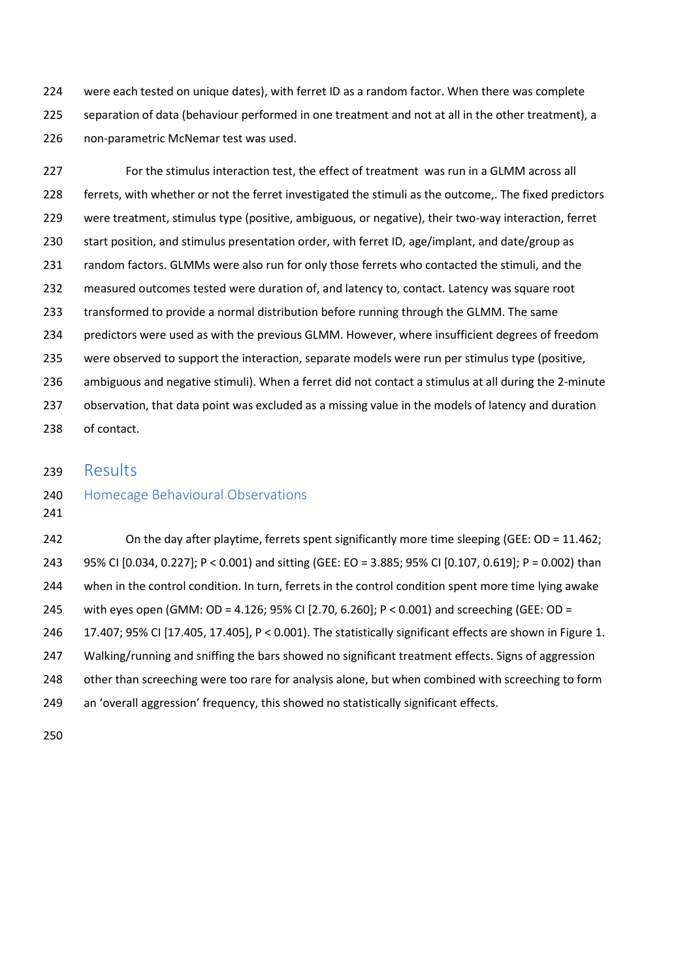224 were each tested on unique dates), with ferret ID as a random factor. When there was complete 225 separation of data (behaviour performed in one treatment and not at all in the other treatment), a 226 non-parametric McNemar test was used.

227 For the stimulus interaction test, the effect of treatment was run in a GLMM across all 228 ferrets, with whether or not the ferret investigated the stimuli as the outcome,. The fixed predictors 229 were treatment, stimulus type (positive, ambiguous, or negative), their two-way interaction, ferret 230 start position, and stimulus presentation order, with ferret ID, age/implant, and date/group as 231 random factors. GLMMs were also run for only those ferrets who contacted the stimuli, and the 232 measured outcomes tested were duration of, and latency to, contact. Latency was square root 233 transformed to provide a normal distribution before running through the GLMM. The same 234 predictors were used as with the previous GLMM. However, where insufficient degrees of freedom 235 were observed to support the interaction, separate models were run per stimulus type (positive, 236 ambiguous and negative stimuli). When a ferret did not contact a stimulus at all during the 2-minute 237 observation, that data point was excluded as a missing value in the models of latency and duration 238 of contact.

## 239 Results

#### 240 Homecage Behavioural Observations

241

242 On the day after playtime, ferrets spent significantly more time sleeping (GEE: OD = 11.462; 243 95% CI [0.034, 0.227]; P < 0.001) and sitting (GEE: EO = 3.885; 95% CI [0.107, 0.619]; P = 0.002) than 244 when in the control condition. In turn, ferrets in the control condition spent more time lying awake 245 with eyes open (GMM: OD = 4.126; 95% CI [2.70, 6.260]; P < 0.001) and screeching (GEE: OD = 246 17.407; 95% CI [17.405, 17.405], P < 0.001). The statistically significant effects are shown in Figure 1. 247 Walking/running and sniffing the bars showed no significant treatment effects. Signs of aggression 248 other than screeching were too rare for analysis alone, but when combined with screeching to form 249 an 'overall aggression' frequency, this showed no statistically significant effects.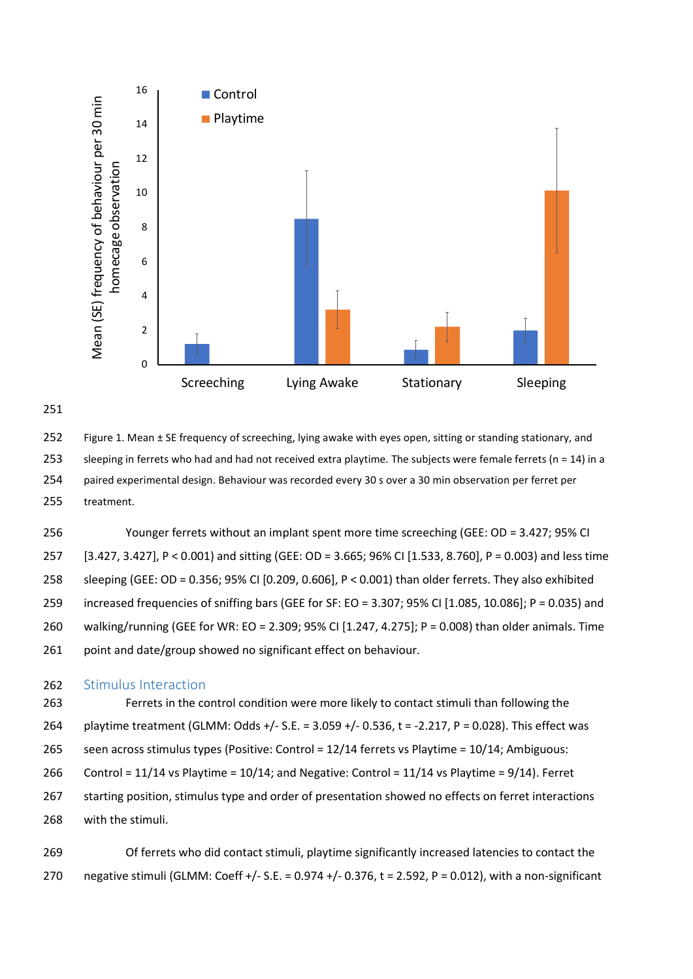



252 Figure 1. Mean ± SE frequency of screeching, lying awake with eyes open, sitting or standing stationary, and 253 sleeping in ferrets who had and had not received extra playtime. The subjects were female ferrets (n = 14) in a 254 paired experimental design. Behaviour was recorded every 30 s over a 30 min observation per ferret per 255 treatment.

256 Younger ferrets without an implant spent more time screeching (GEE: OD = 3.427; 95% CI 257 [3.427, 3.427], P < 0.001) and sitting (GEE: OD = 3.665; 96% CI [1.533, 8.760], P = 0.003) and less time 258 sleeping (GEE: OD = 0.356; 95% CI [0.209, 0.606], P < 0.001) than older ferrets. They also exhibited 259 increased frequencies of sniffing bars (GEE for SF: EO = 3.307; 95% CI [1.085, 10.086]; P = 0.035) and 260 walking/running (GEE for WR: EO = 2.309; 95% CI [1.247, 4.275]; P = 0.008) than older animals. Time 261 point and date/group showed no significant effect on behaviour.

#### 262 Stimulus Interaction

263 Ferrets in the control condition were more likely to contact stimuli than following the 264 playtime treatment (GLMM: Odds +/- S.E. = 3.059 +/- 0.536, t = -2.217, P = 0.028). This effect was 265 seen across stimulus types (Positive: Control = 12/14 ferrets vs Playtime = 10/14; Ambiguous: 266 Control = 11/14 vs Playtime = 10/14; and Negative: Control = 11/14 vs Playtime = 9/14). Ferret 267 starting position, stimulus type and order of presentation showed no effects on ferret interactions 268 with the stimuli.

269 Of ferrets who did contact stimuli, playtime significantly increased latencies to contact the 270 negative stimuli (GLMM: Coeff +/- S.E. = 0.974 +/- 0.376, t = 2.592, P = 0.012), with a non-significant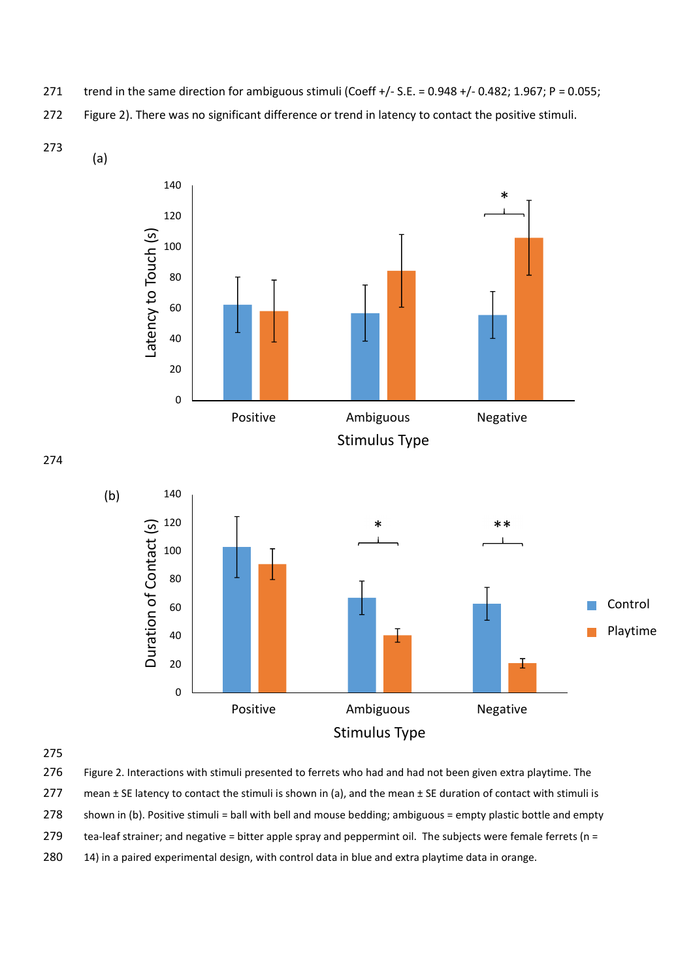- 271 trend in the same direction for ambiguous stimuli (Coeff +/- S.E. = 0.948 +/- 0.482; 1.967; P = 0.055;
- 272 Figure 2). There was no significant difference or trend in latency to contact the positive stimuli.
- 273



275

- 276 Figure 2. Interactions with stimuli presented to ferrets who had and had not been given extra playtime. The
- 277 mean  $\pm$  SE latency to contact the stimuli is shown in (a), and the mean  $\pm$  SE duration of contact with stimuli is
- 278 shown in (b). Positive stimuli = ball with bell and mouse bedding; ambiguous = empty plastic bottle and empty
- 279 tea-leaf strainer; and negative = bitter apple spray and peppermint oil. The subjects were female ferrets (n =
- 280 14) in a paired experimental design, with control data in blue and extra playtime data in orange.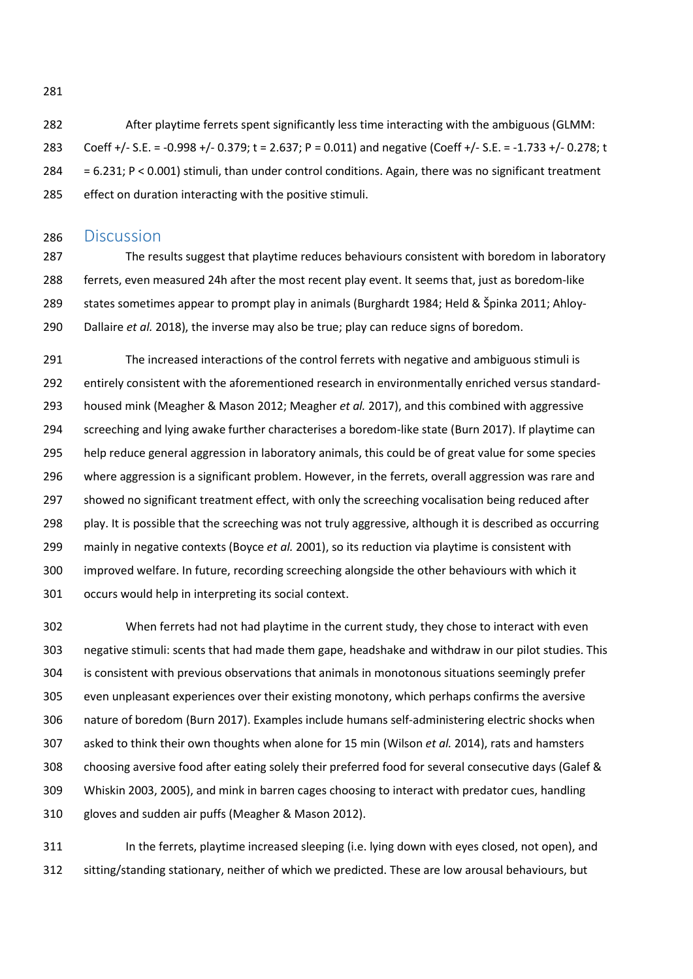282 After playtime ferrets spent significantly less time interacting with the ambiguous (GLMM: 283 Coeff +/- S.E. = -0.998 +/- 0.379; t = 2.637; P = 0.011) and negative (Coeff +/- S.E. = -1.733 +/- 0.278; t 284 = 6.231; P < 0.001) stimuli, than under control conditions. Again, there was no significant treatment 285 effect on duration interacting with the positive stimuli.

#### 286 Discussion

287 The results suggest that playtime reduces behaviours consistent with boredom in laboratory 288 ferrets, even measured 24h after the most recent play event. It seems that, just as boredom-like 289 states sometimes appear to prompt play in animals (Burghardt 1984; Held & Špinka 2011; Ahloy-290 Dallaire et al. 2018), the inverse may also be true; play can reduce signs of boredom.

291 The increased interactions of the control ferrets with negative and ambiguous stimuli is 292 entirely consistent with the aforementioned research in environmentally enriched versus standard-293 housed mink (Meagher & Mason 2012; Meagher et al. 2017), and this combined with aggressive 294 screeching and lying awake further characterises a boredom-like state (Burn 2017). If playtime can 295 help reduce general aggression in laboratory animals, this could be of great value for some species 296 where aggression is a significant problem. However, in the ferrets, overall aggression was rare and 297 showed no significant treatment effect, with only the screeching vocalisation being reduced after 298 play. It is possible that the screeching was not truly aggressive, although it is described as occurring 299 mainly in negative contexts (Boyce et al. 2001), so its reduction via playtime is consistent with 300 improved welfare. In future, recording screeching alongside the other behaviours with which it 301 occurs would help in interpreting its social context.

302 When ferrets had not had playtime in the current study, they chose to interact with even 303 negative stimuli: scents that had made them gape, headshake and withdraw in our pilot studies. This 304 is consistent with previous observations that animals in monotonous situations seemingly prefer 305 even unpleasant experiences over their existing monotony, which perhaps confirms the aversive 306 nature of boredom (Burn 2017). Examples include humans self-administering electric shocks when 307 asked to think their own thoughts when alone for 15 min (Wilson et al. 2014), rats and hamsters 308 choosing aversive food after eating solely their preferred food for several consecutive days (Galef & 309 Whiskin 2003, 2005), and mink in barren cages choosing to interact with predator cues, handling 310 gloves and sudden air puffs (Meagher & Mason 2012).

311 In the ferrets, playtime increased sleeping (i.e. lying down with eyes closed, not open), and 312 sitting/standing stationary, neither of which we predicted. These are low arousal behaviours, but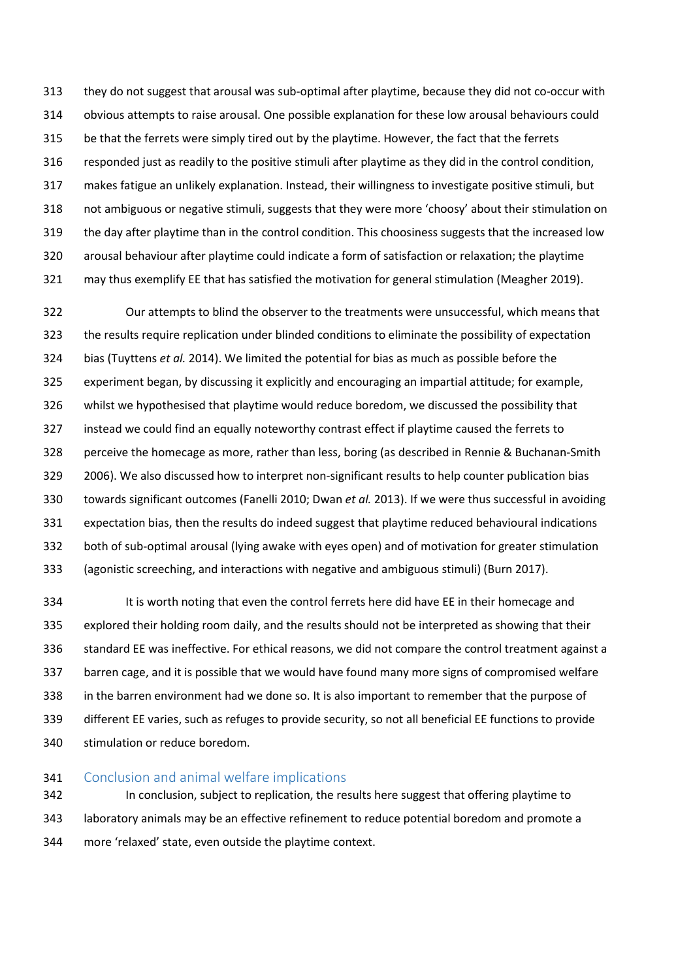313 they do not suggest that arousal was sub-optimal after playtime, because they did not co-occur with 314 obvious attempts to raise arousal. One possible explanation for these low arousal behaviours could 315 be that the ferrets were simply tired out by the playtime. However, the fact that the ferrets 316 responded just as readily to the positive stimuli after playtime as they did in the control condition, 317 makes fatigue an unlikely explanation. Instead, their willingness to investigate positive stimuli, but 318 not ambiguous or negative stimuli, suggests that they were more 'choosy' about their stimulation on 319 the day after playtime than in the control condition. This choosiness suggests that the increased low 320 arousal behaviour after playtime could indicate a form of satisfaction or relaxation; the playtime 321 may thus exemplify EE that has satisfied the motivation for general stimulation (Meagher 2019).

322 Our attempts to blind the observer to the treatments were unsuccessful, which means that 323 the results require replication under blinded conditions to eliminate the possibility of expectation 324 bias (Tuyttens et al. 2014). We limited the potential for bias as much as possible before the 325 experiment began, by discussing it explicitly and encouraging an impartial attitude; for example, 326 whilst we hypothesised that playtime would reduce boredom, we discussed the possibility that 327 instead we could find an equally noteworthy contrast effect if playtime caused the ferrets to 328 perceive the homecage as more, rather than less, boring (as described in Rennie & Buchanan-Smith 329 2006). We also discussed how to interpret non-significant results to help counter publication bias 330 towards significant outcomes (Fanelli 2010; Dwan et al. 2013). If we were thus successful in avoiding 331 expectation bias, then the results do indeed suggest that playtime reduced behavioural indications 332 both of sub-optimal arousal (lying awake with eyes open) and of motivation for greater stimulation 333 (agonistic screeching, and interactions with negative and ambiguous stimuli) (Burn 2017).

334 It is worth noting that even the control ferrets here did have EE in their homecage and 335 explored their holding room daily, and the results should not be interpreted as showing that their 336 standard EE was ineffective. For ethical reasons, we did not compare the control treatment against a 337 barren cage, and it is possible that we would have found many more signs of compromised welfare 338 in the barren environment had we done so. It is also important to remember that the purpose of 339 different EE varies, such as refuges to provide security, so not all beneficial EE functions to provide 340 stimulation or reduce boredom.

#### 341 Conclusion and animal welfare implications

342 In conclusion, subject to replication, the results here suggest that offering playtime to 343 laboratory animals may be an effective refinement to reduce potential boredom and promote a 344 more 'relaxed' state, even outside the playtime context.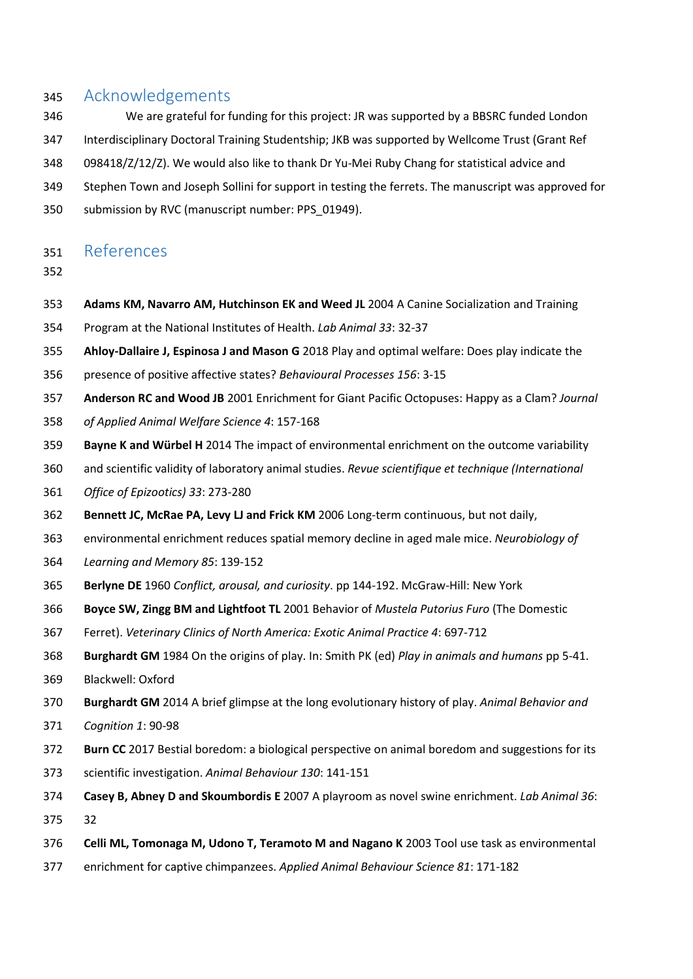# 345 Acknowledgements

- 346 We are grateful for funding for this project: JR was supported by a BBSRC funded London
- 347 Interdisciplinary Doctoral Training Studentship; JKB was supported by Wellcome Trust (Grant Ref
- 348 098418/Z/12/Z). We would also like to thank Dr Yu-Mei Ruby Chang for statistical advice and
- 349 Stephen Town and Joseph Sollini for support in testing the ferrets. The manuscript was approved for
- 350 submission by RVC (manuscript number: PPS\_01949).

# 351 References

- 352
- 353 Adams KM, Navarro AM, Hutchinson EK and Weed JL 2004 A Canine Socialization and Training
- 354 Program at the National Institutes of Health. Lab Animal 33: 32-37
- 355 Ahloy-Dallaire J, Espinosa J and Mason G 2018 Play and optimal welfare: Does play indicate the
- 356 presence of positive affective states? Behavioural Processes 156: 3-15
- 357 Anderson RC and Wood JB 2001 Enrichment for Giant Pacific Octopuses: Happy as a Clam? Journal
- 358 of Applied Animal Welfare Science 4: 157-168
- 359 Bayne K and Würbel H 2014 The impact of environmental enrichment on the outcome variability
- 360 and scientific validity of laboratory animal studies. Revue scientifique et technique (International
- 361 Office of Epizootics) 33: 273-280
- 362 Bennett JC, McRae PA, Levy LJ and Frick KM 2006 Long-term continuous, but not daily,
- 363 environmental enrichment reduces spatial memory decline in aged male mice. Neurobiology of
- 364 Learning and Memory 85: 139-152
- 365 Berlyne DE 1960 Conflict, arousal, and curiosity. pp 144-192. McGraw-Hill: New York
- 366 Boyce SW, Zingg BM and Lightfoot TL 2001 Behavior of Mustela Putorius Furo (The Domestic
- 367 Ferret). Veterinary Clinics of North America: Exotic Animal Practice 4: 697-712
- 368 Burghardt GM 1984 On the origins of play. In: Smith PK (ed) Play in animals and humans pp 5-41.
- 369 Blackwell: Oxford
- 370 Burghardt GM 2014 A brief glimpse at the long evolutionary history of play. Animal Behavior and
- 371 Cognition 1: 90-98
- 372 Burn CC 2017 Bestial boredom: a biological perspective on animal boredom and suggestions for its
- 373 scientific investigation. Animal Behaviour 130: 141-151
- 374 Casey B, Abney D and Skoumbordis E 2007 A playroom as novel swine enrichment. Lab Animal 36: 375 32
- 376 Celli ML, Tomonaga M, Udono T, Teramoto M and Nagano K 2003 Tool use task as environmental
- 377 enrichment for captive chimpanzees. Applied Animal Behaviour Science 81: 171-182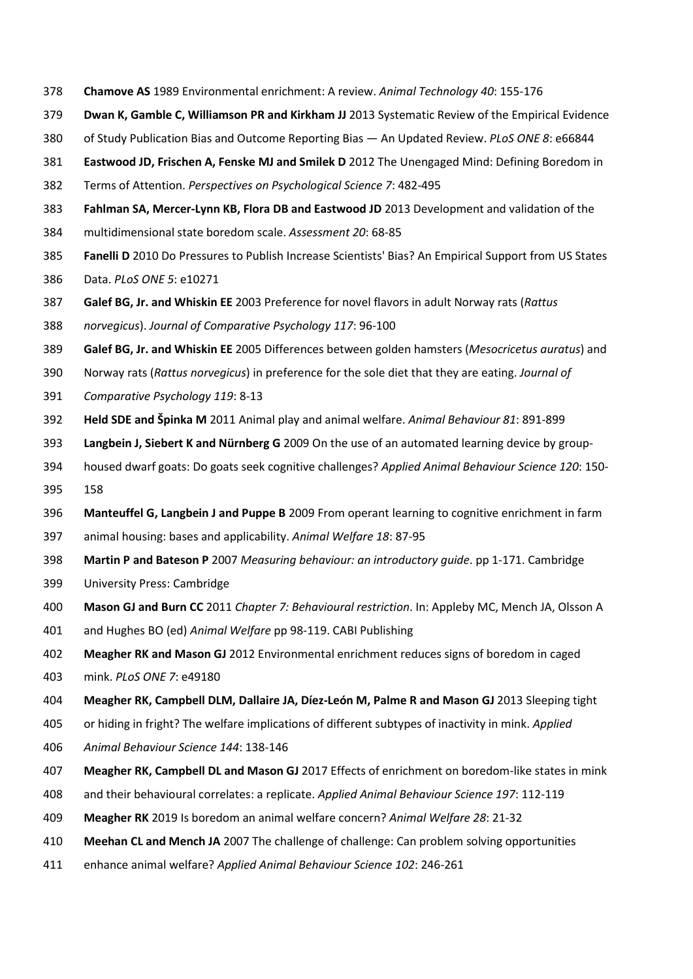- 378 Chamove AS 1989 Environmental enrichment: A review. Animal Technology 40: 155-176
- 379 Dwan K, Gamble C, Williamson PR and Kirkham JJ 2013 Systematic Review of the Empirical Evidence
- 380 of Study Publication Bias and Outcome Reporting Bias An Updated Review. PLoS ONE 8: e66844
- 381 Eastwood JD, Frischen A, Fenske MJ and Smilek D 2012 The Unengaged Mind: Defining Boredom in
- 382 Terms of Attention. Perspectives on Psychological Science 7: 482-495
- 383 Fahlman SA, Mercer-Lynn KB, Flora DB and Eastwood JD 2013 Development and validation of the
- 384 multidimensional state boredom scale. Assessment 20: 68-85
- 385 Fanelli D 2010 Do Pressures to Publish Increase Scientists' Bias? An Empirical Support from US States
- 386 Data. PLoS ONE 5: e10271
- 387 Galef BG, Jr. and Whiskin EE 2003 Preference for novel flavors in adult Norway rats (Rattus
- 388 norvegicus). Journal of Comparative Psychology 117: 96-100
- 389 Galef BG, Jr. and Whiskin EE 2005 Differences between golden hamsters (Mesocricetus auratus) and
- 390 Norway rats (Rattus norvegicus) in preference for the sole diet that they are eating. Journal of
- 391 Comparative Psychology 119: 8-13
- 392 Held SDE and Špinka M 2011 Animal play and animal welfare. Animal Behaviour 81: 891-899
- 393 Langbein J, Siebert K and Nürnberg G 2009 On the use of an automated learning device by group-
- 394 housed dwarf goats: Do goats seek cognitive challenges? Applied Animal Behaviour Science 120: 150-
- 395 158
- 396 Manteuffel G, Langbein J and Puppe B 2009 From operant learning to cognitive enrichment in farm
- 397 animal housing: bases and applicability. Animal Welfare 18: 87-95
- 398 Martin P and Bateson P 2007 Measuring behaviour: an introductory quide. pp 1-171. Cambridge
- 399 University Press: Cambridge
- 400 Mason GJ and Burn CC 2011 Chapter 7: Behavioural restriction. In: Appleby MC, Mench JA, Olsson A
- 401 and Hughes BO (ed) Animal Welfare pp 98-119. CABI Publishing
- 402 Meagher RK and Mason GJ 2012 Environmental enrichment reduces signs of boredom in caged
- 403 mink. PLoS ONE 7: e49180
- 404 Meagher RK, Campbell DLM, Dallaire JA, Díez-León M, Palme R and Mason GJ 2013 Sleeping tight
- 405 or hiding in fright? The welfare implications of different subtypes of inactivity in mink. Applied
- 406 Animal Behaviour Science 144: 138-146
- 407 Meagher RK, Campbell DL and Mason GJ 2017 Effects of enrichment on boredom-like states in mink
- 408 and their behavioural correlates: a replicate. Applied Animal Behaviour Science 197: 112-119
- 409 Meagher RK 2019 Is boredom an animal welfare concern? Animal Welfare 28: 21-32
- 410 Meehan CL and Mench JA 2007 The challenge of challenge: Can problem solving opportunities
- 411 enhance animal welfare? Applied Animal Behaviour Science 102: 246-261